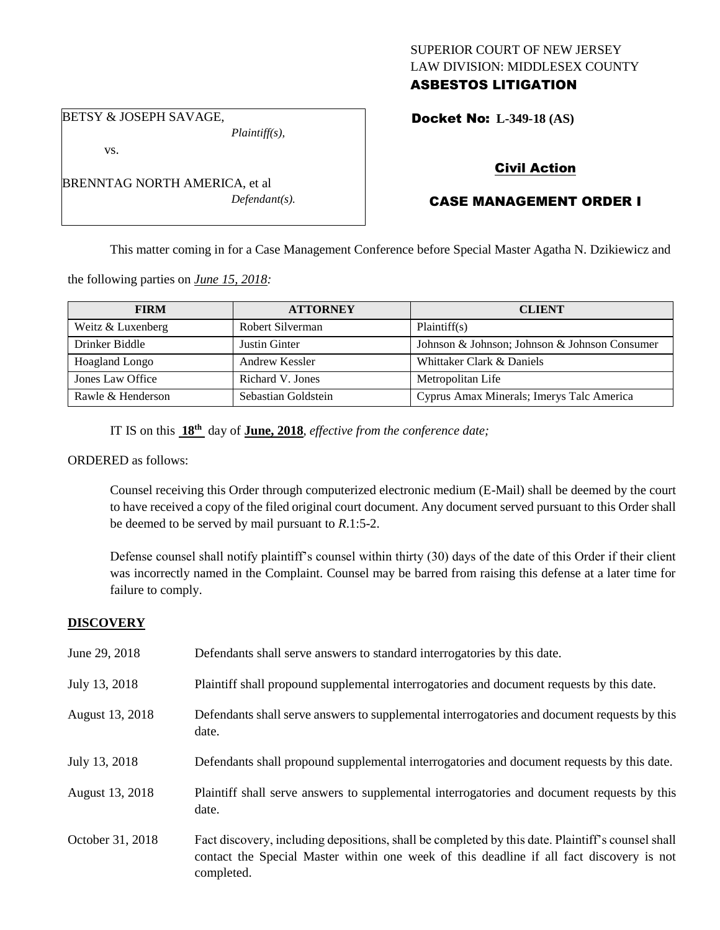## SUPERIOR COURT OF NEW JERSEY LAW DIVISION: MIDDLESEX COUNTY ASBESTOS LITIGATION

BETSY & JOSEPH SAVAGE,

vs.

BRENNTAG NORTH AMERICA, et al *Defendant(s).*

*Plaintiff(s),*

Docket No: **L-349-18 (AS)** 

# Civil Action

# CASE MANAGEMENT ORDER I

This matter coming in for a Case Management Conference before Special Master Agatha N. Dzikiewicz and

the following parties on *June 15, 2018:*

| <b>FIRM</b>           | <b>ATTORNEY</b>     | <b>CLIENT</b>                                 |
|-----------------------|---------------------|-----------------------------------------------|
| Weitz & Luxenberg     | Robert Silverman    | Plaintiff(s)                                  |
| Drinker Biddle        | Justin Ginter       | Johnson & Johnson; Johnson & Johnson Consumer |
| <b>Hoagland Longo</b> | Andrew Kessler      | Whittaker Clark & Daniels                     |
| Jones Law Office      | Richard V. Jones    | Metropolitan Life                             |
| Rawle & Henderson     | Sebastian Goldstein | Cyprus Amax Minerals; Imerys Talc America     |

IT IS on this **18th** day of **June, 2018**, *effective from the conference date;*

ORDERED as follows:

Counsel receiving this Order through computerized electronic medium (E-Mail) shall be deemed by the court to have received a copy of the filed original court document. Any document served pursuant to this Order shall be deemed to be served by mail pursuant to *R*.1:5-2.

Defense counsel shall notify plaintiff's counsel within thirty (30) days of the date of this Order if their client was incorrectly named in the Complaint. Counsel may be barred from raising this defense at a later time for failure to comply.

## **DISCOVERY**

| June 29, 2018    | Defendants shall serve answers to standard interrogatories by this date.                                                                                                                                    |
|------------------|-------------------------------------------------------------------------------------------------------------------------------------------------------------------------------------------------------------|
| July 13, 2018    | Plaintiff shall propound supplemental interrogatories and document requests by this date.                                                                                                                   |
| August 13, 2018  | Defendants shall serve answers to supplemental interrogatories and document requests by this<br>date.                                                                                                       |
| July 13, 2018    | Defendants shall propound supplemental interrogatories and document requests by this date.                                                                                                                  |
| August 13, 2018  | Plaintiff shall serve answers to supplemental interrogatories and document requests by this<br>date.                                                                                                        |
| October 31, 2018 | Fact discovery, including depositions, shall be completed by this date. Plaintiff's counsel shall<br>contact the Special Master within one week of this deadline if all fact discovery is not<br>completed. |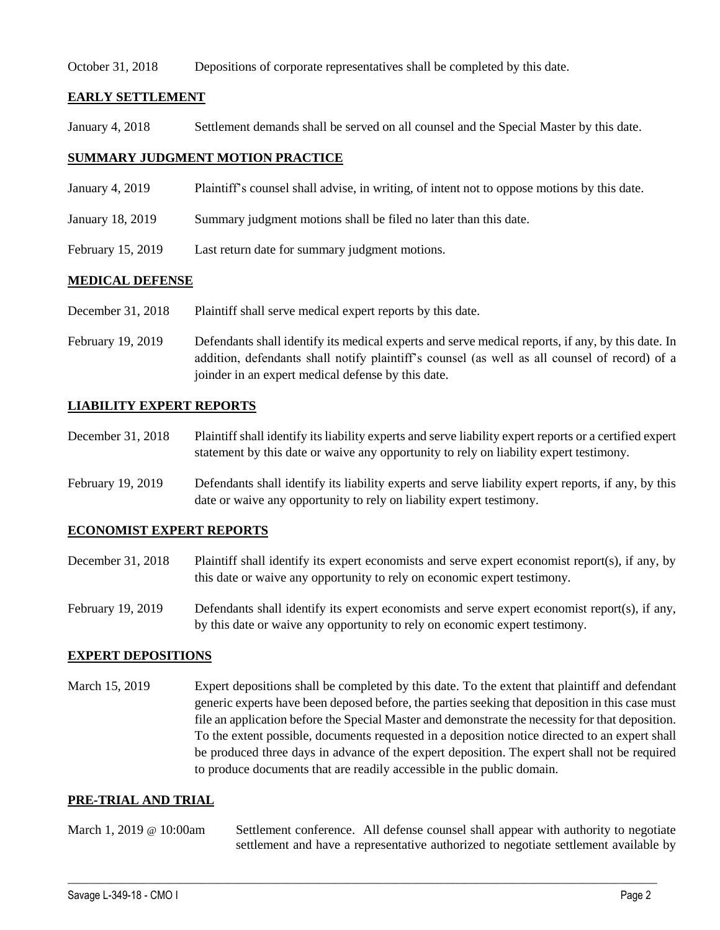### October 31, 2018 Depositions of corporate representatives shall be completed by this date.

## **EARLY SETTLEMENT**

January 4, 2018 Settlement demands shall be served on all counsel and the Special Master by this date.

## **SUMMARY JUDGMENT MOTION PRACTICE**

- January 4, 2019 Plaintiff's counsel shall advise, in writing, of intent not to oppose motions by this date.
- January 18, 2019 Summary judgment motions shall be filed no later than this date.
- February 15, 2019 Last return date for summary judgment motions.

### **MEDICAL DEFENSE**

- December 31, 2018 Plaintiff shall serve medical expert reports by this date.
- February 19, 2019 Defendants shall identify its medical experts and serve medical reports, if any, by this date. In addition, defendants shall notify plaintiff's counsel (as well as all counsel of record) of a joinder in an expert medical defense by this date.

## **LIABILITY EXPERT REPORTS**

- December 31, 2018 Plaintiff shall identify its liability experts and serve liability expert reports or a certified expert statement by this date or waive any opportunity to rely on liability expert testimony.
- February 19, 2019 Defendants shall identify its liability experts and serve liability expert reports, if any, by this date or waive any opportunity to rely on liability expert testimony.

### **ECONOMIST EXPERT REPORTS**

- December 31, 2018 Plaintiff shall identify its expert economists and serve expert economist report(s), if any, by this date or waive any opportunity to rely on economic expert testimony.
- February 19, 2019 Defendants shall identify its expert economists and serve expert economist report(s), if any, by this date or waive any opportunity to rely on economic expert testimony.

### **EXPERT DEPOSITIONS**

March 15, 2019 Expert depositions shall be completed by this date. To the extent that plaintiff and defendant generic experts have been deposed before, the parties seeking that deposition in this case must file an application before the Special Master and demonstrate the necessity for that deposition. To the extent possible, documents requested in a deposition notice directed to an expert shall be produced three days in advance of the expert deposition. The expert shall not be required to produce documents that are readily accessible in the public domain.

### **PRE-TRIAL AND TRIAL**

March 1, 2019 @ 10:00am Settlement conference. All defense counsel shall appear with authority to negotiate settlement and have a representative authorized to negotiate settlement available by

 $\_$  ,  $\_$  ,  $\_$  ,  $\_$  ,  $\_$  ,  $\_$  ,  $\_$  ,  $\_$  ,  $\_$  ,  $\_$  ,  $\_$  ,  $\_$  ,  $\_$  ,  $\_$  ,  $\_$  ,  $\_$  ,  $\_$  ,  $\_$  ,  $\_$  ,  $\_$  ,  $\_$  ,  $\_$  ,  $\_$  ,  $\_$  ,  $\_$  ,  $\_$  ,  $\_$  ,  $\_$  ,  $\_$  ,  $\_$  ,  $\_$  ,  $\_$  ,  $\_$  ,  $\_$  ,  $\_$  ,  $\_$  ,  $\_$  ,